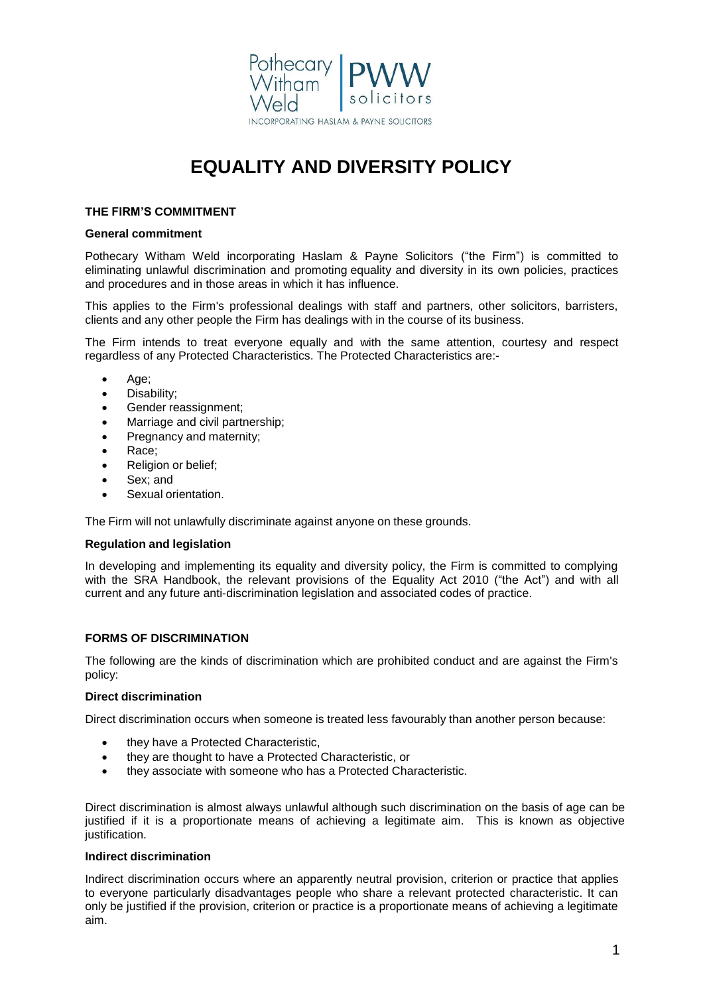

# **EQUALITY AND DIVERSITY POLICY**

# **THE FIRM'S COMMITMENT**

## **General commitment**

Pothecary Witham Weld incorporating Haslam & Payne Solicitors ("the Firm") is committed to eliminating unlawful discrimination and promoting equality and diversity in its own policies, practices and procedures and in those areas in which it has influence.

This applies to the Firm's professional dealings with staff and partners, other solicitors, barristers, clients and any other people the Firm has dealings with in the course of its business.

The Firm intends to treat everyone equally and with the same attention, courtesy and respect regardless of any Protected Characteristics. The Protected Characteristics are:-

- Age;
- Disability;
- Gender reassignment;
- Marriage and civil partnership;
- Pregnancy and maternity;
- Race;
- Religion or belief;
- Sex; and
- Sexual orientation.

The Firm will not unlawfully discriminate against anyone on these grounds.

# **Regulation and legislation**

In developing and implementing its equality and diversity policy, the Firm is committed to complying with the SRA Handbook, the relevant provisions of the Equality Act 2010 ("the Act") and with all current and any future anti-discrimination legislation and associated codes of practice.

# **FORMS OF DISCRIMINATION**

The following are the kinds of discrimination which are prohibited conduct and are against the Firm's policy:

# **Direct discrimination**

Direct discrimination occurs when someone is treated less favourably than another person because:

- they have a Protected Characteristic,
- they are thought to have a Protected Characteristic, or
- they associate with someone who has a Protected Characteristic.

Direct discrimination is almost always unlawful although such discrimination on the basis of age can be justified if it is a proportionate means of achieving a legitimate aim. This is known as objective justification.

# **Indirect discrimination**

Indirect discrimination occurs where an apparently neutral provision, criterion or practice that applies to everyone particularly disadvantages people who share a relevant protected characteristic. It can only be justified if the provision, criterion or practice is a proportionate means of achieving a legitimate aim.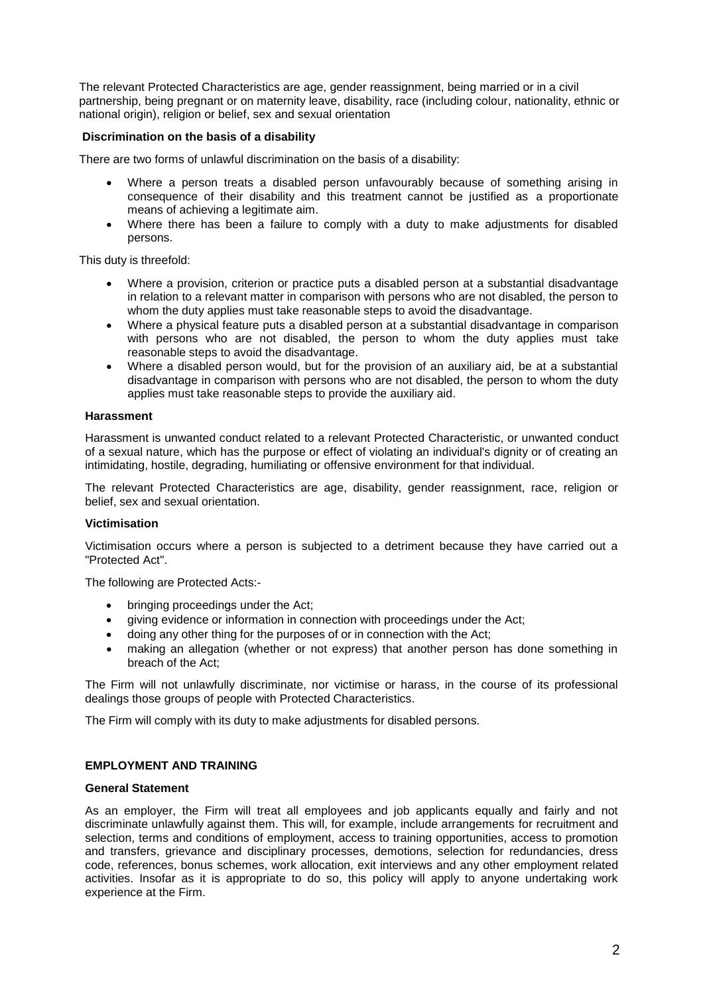The relevant Protected Characteristics are age, gender reassignment, being married or in a civil partnership, being [pregnant](https://www.gov.uk/working-when-pregnant-your-rights) or on maternity leave, [disability,](https://www.gov.uk/definition-of-disability-under-equality-act-2010) race (including colour, nationality, ethnic or national origin), religion or belief, sex and sexual orientation

# **Discrimination on the basis of a disability**

There are two forms of unlawful discrimination on the basis of a disability:

- Where a person treats a disabled person unfavourably because of something arising in consequence of their disability and this treatment cannot be justified as a proportionate means of achieving a legitimate aim.
- Where there has been a failure to comply with a duty to make adjustments for disabled persons.

This duty is threefold:

- Where a provision, criterion or practice puts a disabled person at a substantial disadvantage in relation to a relevant matter in comparison with persons who are not disabled, the person to whom the duty applies must take reasonable steps to avoid the disadvantage.
- Where a physical feature puts a disabled person at a substantial disadvantage in comparison with persons who are not disabled, the person to whom the duty applies must take reasonable steps to avoid the disadvantage.
- Where a disabled person would, but for the provision of an auxiliary aid, be at a substantial disadvantage in comparison with persons who are not disabled, the person to whom the duty applies must take reasonable steps to provide the auxiliary aid.

# **Harassment**

Harassment is unwanted conduct related to a relevant Protected Characteristic, or unwanted conduct of a sexual nature, which has the purpose or effect of violating an individual's dignity or of creating an intimidating, hostile, degrading, humiliating or offensive environment for that individual.

The relevant Protected Characteristics are age, disability, gender reassignment, race, religion or belief, sex and sexual orientation.

# **Victimisation**

Victimisation occurs where a person is subjected to a detriment because they have carried out a "Protected Act".

The following are Protected Acts:-

- bringing proceedings under the Act;
- giving evidence or information in connection with proceedings under the Act;
- doing any other thing for the purposes of or in connection with the Act;
- making an allegation (whether or not express) that another person has done something in breach of the Act;

The Firm will not unlawfully discriminate, nor victimise or harass, in the course of its professional dealings those groups of people with Protected Characteristics.

The Firm will comply with its duty to make adjustments for disabled persons.

# **EMPLOYMENT AND TRAINING**

# **General Statement**

As an employer, the Firm will treat all employees and job applicants equally and fairly and not discriminate unlawfully against them. This will, for example, include arrangements for recruitment and selection, terms and conditions of employment, access to training opportunities, access to promotion and transfers, grievance and disciplinary processes, demotions, selection for redundancies, dress code, references, bonus schemes, work allocation, exit interviews and any other employment related activities. Insofar as it is appropriate to do so, this policy will apply to anyone undertaking work experience at the Firm.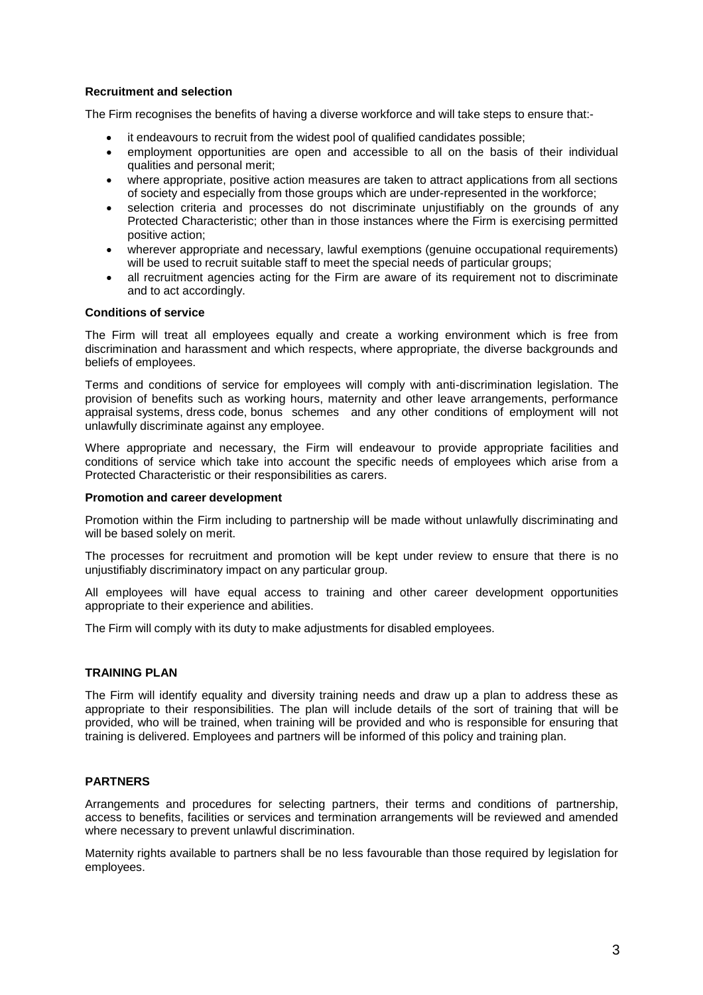# **Recruitment and selection**

The Firm recognises the benefits of having a diverse workforce and will take steps to ensure that:-

- it endeavours to recruit from the widest pool of qualified candidates possible;
- employment opportunities are open and accessible to all on the basis of their individual qualities and personal merit;
- where appropriate, positive action measures are taken to attract applications from all sections of society and especially from those groups which are under-represented in the workforce;
- selection criteria and processes do not discriminate unjustifiably on the grounds of any Protected Characteristic; other than in those instances where the Firm is exercising permitted positive action;
- wherever appropriate and necessary, lawful exemptions (genuine occupational requirements) will be used to recruit suitable staff to meet the special needs of particular groups;
- all recruitment agencies acting for the Firm are aware of its requirement not to discriminate and to act accordingly.

# **Conditions of service**

The Firm will treat all employees equally and create a working environment which is free from discrimination and harassment and which respects, where appropriate, the diverse backgrounds and beliefs of employees.

Terms and conditions of service for employees will comply with anti-discrimination legislation. The provision of benefits such as working hours, maternity and other leave arrangements, performance appraisal systems, dress code, bonus schemes and any other conditions of employment will not unlawfully discriminate against any employee.

Where appropriate and necessary, the Firm will endeavour to provide appropriate facilities and conditions of service which take into account the specific needs of employees which arise from a Protected Characteristic or their responsibilities as carers.

#### **Promotion and career development**

Promotion within the Firm including to partnership will be made without unlawfully discriminating and will be based solely on merit.

The processes for recruitment and promotion will be kept under review to ensure that there is no unjustifiably discriminatory impact on any particular group.

All employees will have equal access to training and other career development opportunities appropriate to their experience and abilities.

The Firm will comply with its duty to make adjustments for disabled employees.

# **TRAINING PLAN**

The Firm will identify equality and diversity training needs and draw up a plan to address these as appropriate to their responsibilities. The plan will include details of the sort of training that will be provided, who will be trained, when training will be provided and who is responsible for ensuring that training is delivered. Employees and partners will be informed of this policy and training plan.

# **PARTNERS**

Arrangements and procedures for selecting partners, their terms and conditions of partnership, access to benefits, facilities or services and termination arrangements will be reviewed and amended where necessary to prevent unlawful discrimination.

Maternity rights available to partners shall be no less favourable than those required by legislation for employees.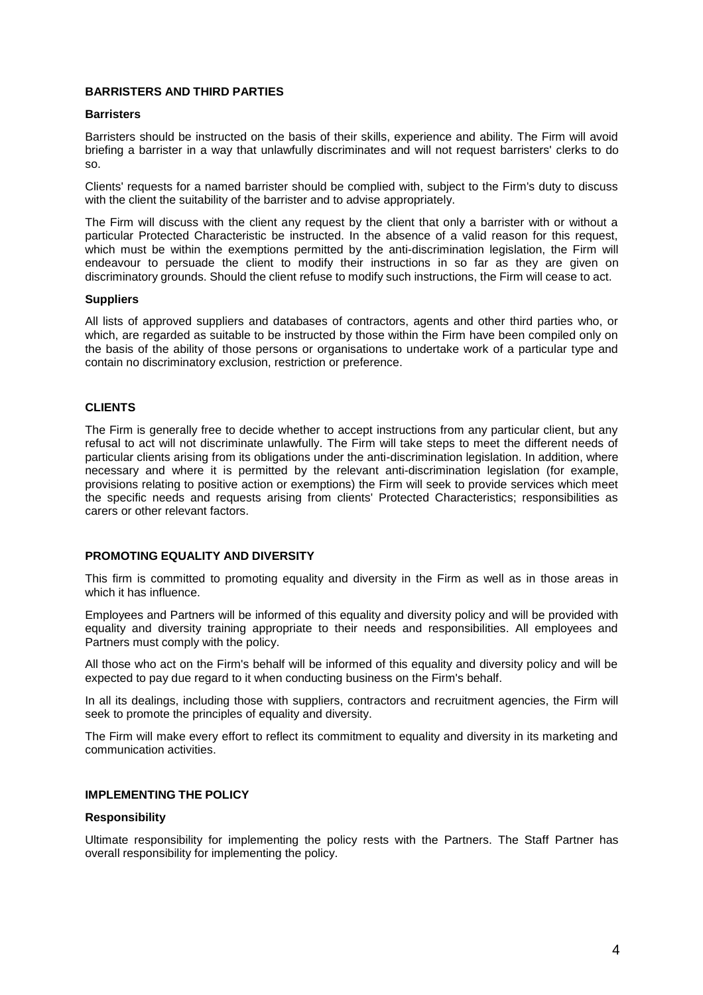# **BARRISTERS AND THIRD PARTIES**

## **Barristers**

Barristers should be instructed on the basis of their skills, experience and ability. The Firm will avoid briefing a barrister in a way that unlawfully discriminates and will not request barristers' clerks to do so.

Clients' requests for a named barrister should be complied with, subject to the Firm's duty to discuss with the client the suitability of the barrister and to advise appropriately.

The Firm will discuss with the client any request by the client that only a barrister with or without a particular Protected Characteristic be instructed. In the absence of a valid reason for this request, which must be within the exemptions permitted by the anti-discrimination legislation, the Firm will endeavour to persuade the client to modify their instructions in so far as they are given on discriminatory grounds. Should the client refuse to modify such instructions, the Firm will cease to act.

#### **Suppliers**

All lists of approved suppliers and databases of contractors, agents and other third parties who, or which, are regarded as suitable to be instructed by those within the Firm have been compiled only on the basis of the ability of those persons or organisations to undertake work of a particular type and contain no discriminatory exclusion, restriction or preference.

# **CLIENTS**

The Firm is generally free to decide whether to accept instructions from any particular client, but any refusal to act will not discriminate unlawfully. The Firm will take steps to meet the different needs of particular clients arising from its obligations under the anti-discrimination legislation. In addition, where necessary and where it is permitted by the relevant anti-discrimination legislation (for example, provisions relating to positive action or exemptions) the Firm will seek to provide services which meet the specific needs and requests arising from clients' Protected Characteristics; responsibilities as carers or other relevant factors.

# **PROMOTING EQUALITY AND DIVERSITY**

This firm is committed to promoting equality and diversity in the Firm as well as in those areas in which it has influence.

Employees and Partners will be informed of this equality and diversity policy and will be provided with equality and diversity training appropriate to their needs and responsibilities. All employees and Partners must comply with the policy.

All those who act on the Firm's behalf will be informed of this equality and diversity policy and will be expected to pay due regard to it when conducting business on the Firm's behalf.

In all its dealings, including those with suppliers, contractors and recruitment agencies, the Firm will seek to promote the principles of equality and diversity.

The Firm will make every effort to reflect its commitment to equality and diversity in its marketing and communication activities.

# **IMPLEMENTING THE POLICY**

## **Responsibility**

Ultimate responsibility for implementing the policy rests with the Partners. The Staff Partner has overall responsibility for implementing the policy.